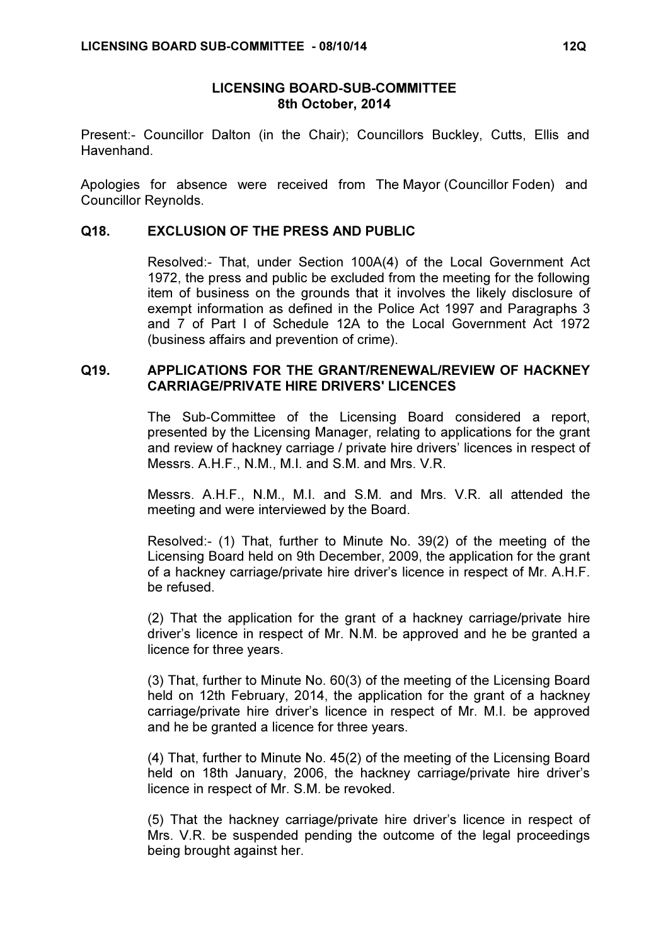## LICENSING BOARD-SUB-COMMITTEE 8th October, 2014

Present:- Councillor Dalton (in the Chair); Councillors Buckley, Cutts, Ellis and Havenhand.

Apologies for absence were received from The Mayor (Councillor Foden) and Councillor Reynolds.

## Q18. EXCLUSION OF THE PRESS AND PUBLIC

 Resolved:- That, under Section 100A(4) of the Local Government Act 1972, the press and public be excluded from the meeting for the following item of business on the grounds that it involves the likely disclosure of exempt information as defined in the Police Act 1997 and Paragraphs 3 and 7 of Part I of Schedule 12A to the Local Government Act 1972 (business affairs and prevention of crime).

## Q19. APPLICATIONS FOR THE GRANT/RENEWAL/REVIEW OF HACKNEY CARRIAGE/PRIVATE HIRE DRIVERS' LICENCES

 The Sub-Committee of the Licensing Board considered a report, presented by the Licensing Manager, relating to applications for the grant and review of hackney carriage / private hire drivers' licences in respect of Messrs. A.H.F., N.M., M.I. and S.M. and Mrs. V.R.

Messrs. A.H.F., N.M., M.I. and S.M. and Mrs. V.R. all attended the meeting and were interviewed by the Board.

Resolved:- (1) That, further to Minute No. 39(2) of the meeting of the Licensing Board held on 9th December, 2009, the application for the grant of a hackney carriage/private hire driver's licence in respect of Mr. A.H.F. be refused.

(2) That the application for the grant of a hackney carriage/private hire driver's licence in respect of Mr. N.M. be approved and he be granted a licence for three years.

(3) That, further to Minute No. 60(3) of the meeting of the Licensing Board held on 12th February, 2014, the application for the grant of a hackney carriage/private hire driver's licence in respect of Mr. M.I. be approved and he be granted a licence for three years.

(4) That, further to Minute No. 45(2) of the meeting of the Licensing Board held on 18th January, 2006, the hackney carriage/private hire driver's licence in respect of Mr. S.M. be revoked.

(5) That the hackney carriage/private hire driver's licence in respect of Mrs. V.R. be suspended pending the outcome of the legal proceedings being brought against her.